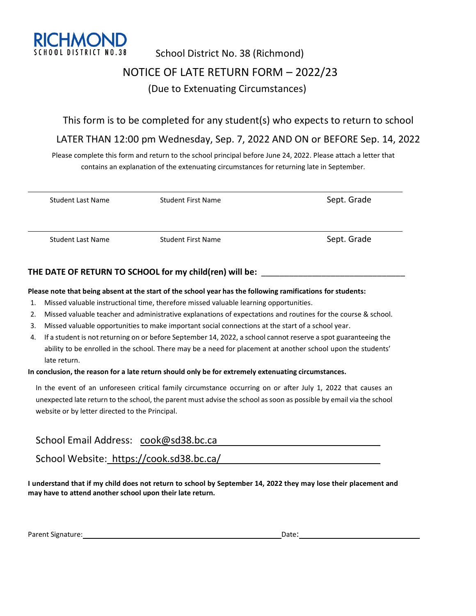

# School District No. 38 (Richmond) NOTICE OF LATE RETURN FORM – 2022/23 (Due to Extenuating Circumstances)

### This form is to be completed for any student(s) who expects to return to school

### LATER THAN 12:00 pm Wednesday, Sep. 7, 2022 AND ON or BEFORE Sep. 14, 2022

Please complete this form and return to the school principal before June 24, 2022. Please attach a letter that contains an explanation of the extenuating circumstances for returning late in September.

| Student Last Name        | <b>Student First Name</b> | Sept. Grade |
|--------------------------|---------------------------|-------------|
|                          |                           |             |
| <b>Student Last Name</b> | Student First Name        | Sept. Grade |

### **THE DATE OF RETURN TO SCHOOL for my child(ren) will be:** \_\_\_\_\_\_\_\_\_\_\_\_\_\_\_\_\_\_\_\_\_\_\_\_\_\_\_\_\_\_\_

#### **Please note that being absent at the start of the school year has the following ramifications for students:**

- 1. Missed valuable instructional time, therefore missed valuable learning opportunities.
- 2. Missed valuable teacher and administrative explanations of expectations and routines for the course & school.
- 3. Missed valuable opportunities to make important social connections at the start of a school year.
- 4. If a student is not returning on or before September 14, 2022, a school cannot reserve a spot guaranteeing the ability to be enrolled in the school. There may be a need for placement at another school upon the students' late return.

#### **In conclusion, the reason for a late return should only be for extremely extenuating circumstances.**

In the event of an unforeseen critical family circumstance occurring on or after July 1, 2022 that causes an unexpected late return to the school, the parent must advise the school as soon as possible by email via the school website or by letter directed to the Principal.

### School Email Address: cook@sd38.bc.ca

School Website: https://cook.sd38.bc.ca/

**I understand that if my child does not return to school by September 14, 2022 they may lose their placement and may have to attend another school upon their late return.**

Parent Signature: Date: Date: Date: Date: Date: Date: Date: Date: Date: Date: Date: Date: Date: Date: Date: Date: Date: Date: Date: Date: Date: Date: Date: Date: Date: Date: Date: Date: Date: Date: Date: Date: Date: Date: